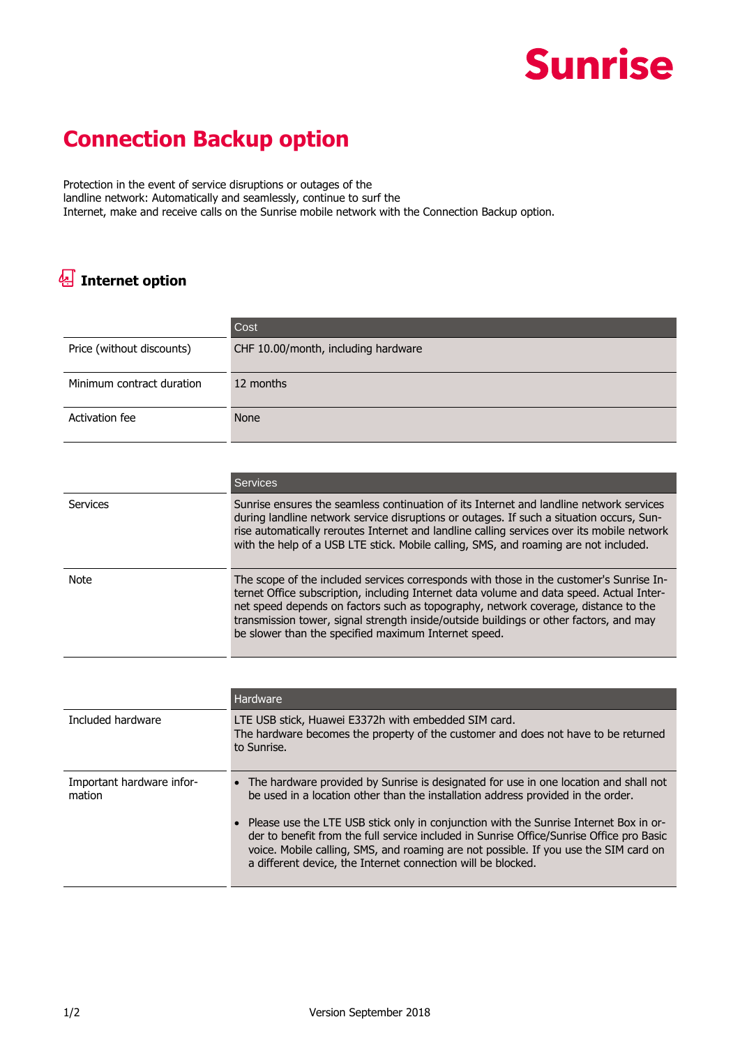## **Sunrise**

## **Connection Backup option**

Protection in the event of service disruptions or outages of the landline network: Automatically and seamlessly, continue to surf the Internet, make and receive calls on the Sunrise mobile network with the Connection Backup option.

## **Internet option**

|                                     | Cost                                                                                                                                                                                                                                                                                                                                                                                                                        |
|-------------------------------------|-----------------------------------------------------------------------------------------------------------------------------------------------------------------------------------------------------------------------------------------------------------------------------------------------------------------------------------------------------------------------------------------------------------------------------|
| Price (without discounts)           | CHF 10.00/month, including hardware                                                                                                                                                                                                                                                                                                                                                                                         |
| Minimum contract duration           | 12 months                                                                                                                                                                                                                                                                                                                                                                                                                   |
| Activation fee                      | <b>None</b>                                                                                                                                                                                                                                                                                                                                                                                                                 |
|                                     |                                                                                                                                                                                                                                                                                                                                                                                                                             |
|                                     | <b>Services</b>                                                                                                                                                                                                                                                                                                                                                                                                             |
| Services                            | Sunrise ensures the seamless continuation of its Internet and landline network services<br>during landline network service disruptions or outages. If such a situation occurs, Sun-<br>rise automatically reroutes Internet and landline calling services over its mobile network<br>with the help of a USB LTE stick. Mobile calling, SMS, and roaming are not included.                                                   |
| Note                                | The scope of the included services corresponds with those in the customer's Sunrise In-<br>ternet Office subscription, including Internet data volume and data speed. Actual Inter-<br>net speed depends on factors such as topography, network coverage, distance to the<br>transmission tower, signal strength inside/outside buildings or other factors, and may<br>be slower than the specified maximum Internet speed. |
|                                     |                                                                                                                                                                                                                                                                                                                                                                                                                             |
|                                     | Hardware                                                                                                                                                                                                                                                                                                                                                                                                                    |
| Included hardware                   | LTE USB stick, Huawei E3372h with embedded SIM card.<br>The hardware becomes the property of the customer and does not have to be returned<br>to Sunrise.                                                                                                                                                                                                                                                                   |
| Important hardware infor-<br>mation | • The hardware provided by Sunrise is designated for use in one location and shall not<br>be used in a location other than the installation address provided in the order.                                                                                                                                                                                                                                                  |
|                                     | Please use the LTE USB stick only in conjunction with the Sunrise Internet Box in or-<br>der to benefit from the full service included in Sunrise Office/Sunrise Office pro Basic<br>voice. Mobile calling, SMS, and roaming are not possible. If you use the SIM card on<br>a different device, the Internet connection will be blocked.                                                                                   |